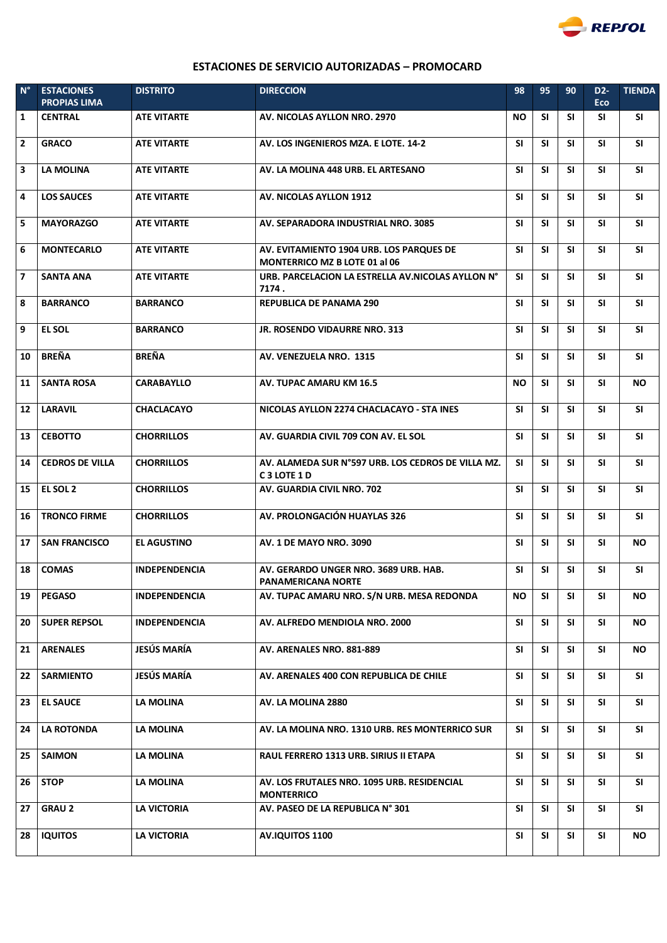

## **ESTACIONES DE SERVICIO AUTORIZADAS - PROMOCARD**

| $N^{\circ}$    | <b>ESTACIONES</b><br><b>PROPIAS LIMA</b> | <b>DISTRITO</b>      | <b>DIRECCION</b>                                                                         | 98        | 95        | 90        | D <sub>2</sub> -<br><b>Eco</b> | <b>TIENDA</b> |
|----------------|------------------------------------------|----------------------|------------------------------------------------------------------------------------------|-----------|-----------|-----------|--------------------------------|---------------|
| 1              | <b>CENTRAL</b>                           | <b>ATE VITARTE</b>   | AV. NICOLAS AYLLON NRO. 2970                                                             | <b>NO</b> | <b>SI</b> | <b>SI</b> | SI.                            | <b>SI</b>     |
| $\mathbf{2}$   | <b>GRACO</b>                             | <b>ATE VITARTE</b>   | AV. LOS INGENIEROS MZA. E LOTE. 14-2                                                     | <b>SI</b> | <b>SI</b> | SI.       | SI.                            | <b>SI</b>     |
| 3              | LA MOLINA                                | <b>ATE VITARTE</b>   | AV. LA MOLINA 448 URB. EL ARTESANO                                                       | <b>SI</b> | <b>SI</b> | <b>SI</b> | <b>SI</b>                      | <b>SI</b>     |
| 4              | <b>LOS SAUCES</b>                        | <b>ATE VITARTE</b>   | <b>AV. NICOLAS AYLLON 1912</b>                                                           | <b>SI</b> | <b>SI</b> | <b>SI</b> | <b>SI</b>                      | <b>SI</b>     |
| 5              | <b>MAYORAZGO</b>                         | <b>ATE VITARTE</b>   | AV. SEPARADORA INDUSTRIAL NRO. 3085                                                      | <b>SI</b> | <b>SI</b> | <b>SI</b> | <b>SI</b>                      | <b>SI</b>     |
| 6              | <b>MONTECARLO</b>                        | <b>ATE VITARTE</b>   | AV. EVITAMIENTO 1904 URB. LOS PARQUES DE<br><b>MONTERRICO MZ B LOTE 01 al 06</b>         | <b>SI</b> | <b>SI</b> | <b>SI</b> | <b>SI</b>                      | SI            |
| $\overline{ }$ | <b>SANTA ANA</b>                         | <b>ATE VITARTE</b>   | URB. PARCELACION LA ESTRELLA AV.NICOLAS AYLLON N°<br>7174.                               | SI.       | <b>SI</b> | <b>SI</b> | <b>SI</b>                      | SI            |
| 8              | <b>BARRANCO</b>                          | <b>BARRANCO</b>      | <b>REPUBLICA DE PANAMA 290</b>                                                           | <b>SI</b> | <b>SI</b> | <b>SI</b> | <b>SI</b>                      | SI            |
| 9              | <b>EL SOL</b>                            | <b>BARRANCO</b>      | <b>JR. ROSENDO VIDAURRE NRO. 313</b>                                                     | <b>SI</b> | <b>SI</b> | <b>SI</b> | <b>SI</b>                      | SI            |
| 10             | <b>BREÑA</b>                             | <b>BREÑA</b>         | AV. VENEZUELA NRO. 1315                                                                  | <b>SI</b> | <b>SI</b> | SI.       | SI.                            | <b>SI</b>     |
| 11             | <b>SANTA ROSA</b>                        | <b>CARABAYLLO</b>    | AV. TUPAC AMARU KM 16.5                                                                  | NO.       | <b>SI</b> | SI.       | <b>SI</b>                      | <b>NO</b>     |
| 12             | <b>LARAVIL</b>                           | <b>CHACLACAYO</b>    | NICOLAS AYLLON 2274 CHACLACAYO - STA INES                                                | <b>SI</b> | <b>SI</b> | <b>SI</b> | <b>SI</b>                      | <b>SI</b>     |
| 13             | <b>CEBOTTO</b>                           | <b>CHORRILLOS</b>    | AV. GUARDIA CIVIL 709 CON AV. EL SOL                                                     | <b>SI</b> | <b>SI</b> | <b>SI</b> | <b>SI</b>                      | <b>SI</b>     |
| 14             | <b>CEDROS DE VILLA</b>                   | <b>CHORRILLOS</b>    | AV. ALAMEDA SUR N°597 URB. LOS CEDROS DE VILLA MZ.<br>C <sub>3</sub> LOTE <sub>1</sub> D | SI.       | <b>SI</b> | <b>SI</b> | <b>SI</b>                      | <b>SI</b>     |
| 15             | EL SOL 2                                 | <b>CHORRILLOS</b>    | AV. GUARDIA CIVIL NRO. 702                                                               | <b>SI</b> | <b>SI</b> | <b>SI</b> | <b>SI</b>                      | SI            |
| 16             | <b>TRONCO FIRME</b>                      | <b>CHORRILLOS</b>    | AV. PROLONGACIÓN HUAYLAS 326                                                             | <b>SI</b> | <b>SI</b> | <b>SI</b> | <b>SI</b>                      | SI            |
| 17             | <b>SAN FRANCISCO</b>                     | <b>EL AGUSTINO</b>   | AV. 1 DE MAYO NRO. 3090                                                                  | <b>SI</b> | <b>SI</b> | <b>SI</b> | <b>SI</b>                      | <b>NO</b>     |
| 18             | <b>COMAS</b>                             | <b>INDEPENDENCIA</b> | AV. GERARDO UNGER NRO. 3689 URB. HAB.<br>PANAMERICANA NORTE                              | <b>SI</b> | <b>SI</b> | <b>SI</b> | <b>SI</b>                      | SI            |
| 19             | <b>PEGASO</b>                            | <b>INDEPENDENCIA</b> | AV. TUPAC AMARU NRO. S/N URB. MESA REDONDA                                               | <b>NO</b> | <b>SI</b> | SI        | <b>SI</b>                      | ΝO            |
| 20             | <b>SUPER REPSOL</b>                      | <b>INDEPENDENCIA</b> | AV. ALFREDO MENDIOLA NRO. 2000                                                           | SΙ        | <b>SI</b> | <b>SI</b> | <b>SI</b>                      | NO.           |
| 21             | <b>ARENALES</b>                          | JESÚS MARÍA          | AV. ARENALES NRO. 881-889                                                                | SΙ        | <b>SI</b> | SI        | <b>SI</b>                      | NO.           |
| 22             | <b>SARMIENTO</b>                         | JESÚS MARÍA          | AV. ARENALES 400 CON REPUBLICA DE CHILE                                                  | <b>SI</b> | <b>SI</b> | <b>SI</b> | <b>SI</b>                      | SI            |
| 23             | <b>EL SAUCE</b>                          | LA MOLINA            | AV. LA MOLINA 2880                                                                       | SΙ        | <b>SI</b> | SI        | SΙ                             | SI.           |
| 24             | <b>LA ROTONDA</b>                        | <b>LA MOLINA</b>     | AV. LA MOLINA NRO. 1310 URB. RES MONTERRICO SUR                                          | SI        | <b>SI</b> | SI        | SΙ                             | SΙ            |
| 25             | <b>SAIMON</b>                            | LA MOLINA            | RAUL FERRERO 1313 URB. SIRIUS II ETAPA                                                   | <b>SI</b> | <b>SI</b> | SI        | SΙ                             | <b>SI</b>     |
| 26             | <b>STOP</b>                              | LA MOLINA            | AV. LOS FRUTALES NRO. 1095 URB. RESIDENCIAL<br><b>MONTERRICO</b>                         | SI        | <b>SI</b> | SI        | SΙ                             | <b>SI</b>     |
| 27             | <b>GRAU 2</b>                            | <b>LA VICTORIA</b>   | AV. PASEO DE LA REPUBLICA Nº 301                                                         | SΙ        | <b>SI</b> | SI        | SΙ                             | SI.           |
| 28             | <b>IQUITOS</b>                           | <b>LA VICTORIA</b>   | <b>AV.IQUITOS 1100</b>                                                                   | SI        | <b>SI</b> | SI        | <b>SI</b>                      | <b>NO</b>     |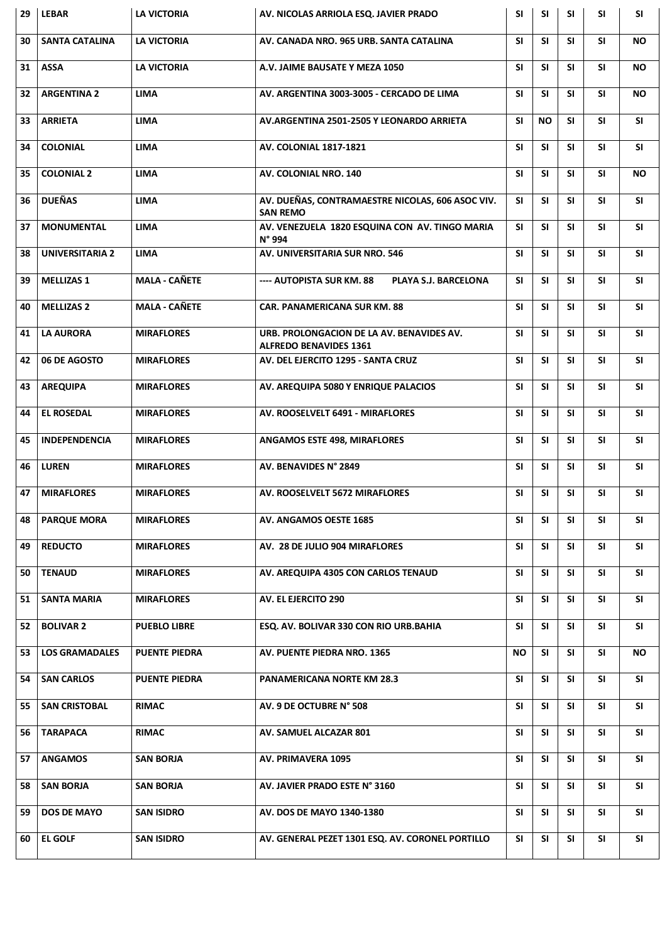| 29 | <b>LEBAR</b>           | <b>LA VICTORIA</b>   | AV. NICOLAS ARRIOLA ESQ. JAVIER PRADO                                      | <b>SI</b> | <b>SI</b> | <b>SI</b> | <b>SI</b> | <b>SI</b> |
|----|------------------------|----------------------|----------------------------------------------------------------------------|-----------|-----------|-----------|-----------|-----------|
| 30 | <b>SANTA CATALINA</b>  | <b>LA VICTORIA</b>   | AV. CANADA NRO. 965 URB. SANTA CATALINA                                    | <b>SI</b> | <b>SI</b> | <b>SI</b> | <b>SI</b> | <b>NO</b> |
| 31 | <b>ASSA</b>            | <b>LA VICTORIA</b>   | A.V. JAIME BAUSATE Y MEZA 1050                                             | <b>SI</b> | <b>SI</b> | <b>SI</b> | <b>SI</b> | NO.       |
| 32 | <b>ARGENTINA 2</b>     | <b>LIMA</b>          | AV. ARGENTINA 3003-3005 - CERCADO DE LIMA                                  | <b>SI</b> | <b>SI</b> | <b>SI</b> | <b>SI</b> | NO.       |
| 33 | <b>ARRIETA</b>         | <b>LIMA</b>          | AV.ARGENTINA 2501-2505 Y LEONARDO ARRIETA                                  | <b>SI</b> | <b>NO</b> | <b>SI</b> | <b>SI</b> | <b>SI</b> |
| 34 | <b>COLONIAL</b>        | <b>LIMA</b>          | <b>AV. COLONIAL 1817-1821</b>                                              | <b>SI</b> | <b>SI</b> | <b>SI</b> | <b>SI</b> | <b>SI</b> |
| 35 | <b>COLONIAL 2</b>      | <b>LIMA</b>          | <b>AV. COLONIAL NRO. 140</b>                                               | <b>SI</b> | <b>SI</b> | <b>SI</b> | <b>SI</b> | <b>NO</b> |
| 36 | <b>DUEÑAS</b>          | <b>LIMA</b>          | AV. DUEÑAS, CONTRAMAESTRE NICOLAS, 606 ASOC VIV.<br><b>SAN REMO</b>        | <b>SI</b> | <b>SI</b> | <b>SI</b> | <b>SI</b> | <b>SI</b> |
| 37 | <b>MONUMENTAL</b>      | <b>LIMA</b>          | AV. VENEZUELA 1820 ESQUINA CON AV. TINGO MARIA<br>N° 994                   | <b>SI</b> | <b>SI</b> | <b>SI</b> | <b>SI</b> | <b>SI</b> |
| 38 | <b>UNIVERSITARIA 2</b> | <b>LIMA</b>          | AV. UNIVERSITARIA SUR NRO. 546                                             | <b>SI</b> | <b>SI</b> | <b>SI</b> | <b>SI</b> | <b>SI</b> |
| 39 | <b>MELLIZAS 1</b>      | <b>MALA - CAÑETE</b> | ---- AUTOPISTA SUR KM. 88<br>PLAYA S.J. BARCELONA                          | <b>SI</b> | <b>SI</b> | <b>SI</b> | <b>SI</b> | <b>SI</b> |
| 40 | <b>MELLIZAS 2</b>      | <b>MALA - CAÑETE</b> | <b>CAR. PANAMERICANA SUR KM. 88</b>                                        | <b>SI</b> | <b>SI</b> | SΙ        | <b>SI</b> | <b>SI</b> |
| 41 | <b>LA AURORA</b>       | <b>MIRAFLORES</b>    | URB. PROLONGACION DE LA AV. BENAVIDES AV.<br><b>ALFREDO BENAVIDES 1361</b> | <b>SI</b> | <b>SI</b> | SΙ        | <b>SI</b> | <b>SI</b> |
| 42 | 06 DE AGOSTO           | <b>MIRAFLORES</b>    | AV. DEL EJERCITO 1295 - SANTA CRUZ                                         | <b>SI</b> | <b>SI</b> | <b>SI</b> | <b>SI</b> | <b>SI</b> |
| 43 | <b>AREQUIPA</b>        | <b>MIRAFLORES</b>    | AV. AREQUIPA 5080 Y ENRIQUE PALACIOS                                       | <b>SI</b> | <b>SI</b> | <b>SI</b> | <b>SI</b> | <b>SI</b> |
| 44 | <b>EL ROSEDAL</b>      | <b>MIRAFLORES</b>    | AV. ROOSELVELT 6491 - MIRAFLORES                                           | <b>SI</b> | <b>SI</b> | <b>SI</b> | <b>SI</b> | <b>SI</b> |
| 45 | <b>INDEPENDENCIA</b>   | <b>MIRAFLORES</b>    | <b>ANGAMOS ESTE 498, MIRAFLORES</b>                                        | <b>SI</b> | <b>SI</b> | <b>SI</b> | <b>SI</b> | <b>SI</b> |
| 46 | <b>LUREN</b>           | <b>MIRAFLORES</b>    | AV. BENAVIDES N° 2849                                                      | <b>SI</b> | <b>SI</b> | <b>SI</b> | <b>SI</b> | <b>SI</b> |
| 47 | <b>MIRAFLORES</b>      | <b>MIRAFLORES</b>    | AV. ROOSELVELT 5672 MIRAFLORES                                             | <b>SI</b> | <b>SI</b> | <b>SI</b> | SI.       | <b>SI</b> |
| 48 | <b>PARQUE MORA</b>     | <b>MIRAFLORES</b>    | AV. ANGAMOS OESTE 1685                                                     | SI        | SI        | SI        | SI        | <b>SI</b> |
| 49 | <b>REDUCTO</b>         | <b>MIRAFLORES</b>    | AV. 28 DE JULIO 904 MIRAFLORES                                             | <b>SI</b> | <b>SI</b> | <b>SI</b> | <b>SI</b> | <b>SI</b> |
| 50 | <b>TENAUD</b>          | <b>MIRAFLORES</b>    | AV. AREQUIPA 4305 CON CARLOS TENAUD                                        | <b>SI</b> | <b>SI</b> | SΙ        | SI        | <b>SI</b> |
| 51 | <b>SANTA MARIA</b>     | <b>MIRAFLORES</b>    | AV. EL EJERCITO 290                                                        | <b>SI</b> | <b>SI</b> | SΙ        | SI        | <b>SI</b> |
| 52 | <b>BOLIVAR 2</b>       | <b>PUEBLO LIBRE</b>  | ESQ. AV. BOLIVAR 330 CON RIO URB. BAHIA                                    | SI        | <b>SI</b> | <b>SI</b> | <b>SI</b> | <b>SI</b> |
| 53 | <b>LOS GRAMADALES</b>  | <b>PUENTE PIEDRA</b> | AV. PUENTE PIEDRA NRO. 1365                                                | NO.       | <b>SI</b> | <b>SI</b> | <b>SI</b> | <b>NO</b> |
| 54 | <b>SAN CARLOS</b>      | <b>PUENTE PIEDRA</b> | <b>PANAMERICANA NORTE KM 28.3</b>                                          | SI        | <b>SI</b> | <b>SI</b> | <b>SI</b> | <b>SI</b> |
| 55 | <b>SAN CRISTOBAL</b>   | <b>RIMAC</b>         | AV. 9 DE OCTUBRE N° 508                                                    | SI        | <b>SI</b> | <b>SI</b> | <b>SI</b> | <b>SI</b> |
| 56 | <b>TARAPACA</b>        | <b>RIMAC</b>         | AV. SAMUEL ALCAZAR 801                                                     | <b>SI</b> | <b>SI</b> | <b>SI</b> | <b>SI</b> | <b>SI</b> |
| 57 | <b>ANGAMOS</b>         | <b>SAN BORJA</b>     | AV. PRIMAVERA 1095                                                         | <b>SI</b> | <b>SI</b> | <b>SI</b> | <b>SI</b> | <b>SI</b> |
| 58 | <b>SAN BORJA</b>       | <b>SAN BORJA</b>     | AV. JAVIER PRADO ESTE Nº 3160                                              | <b>SI</b> | <b>SI</b> | <b>SI</b> | <b>SI</b> | <b>SI</b> |
| 59 | <b>DOS DE MAYO</b>     | <b>SAN ISIDRO</b>    | AV. DOS DE MAYO 1340-1380                                                  | <b>SI</b> | <b>SI</b> | <b>SI</b> | <b>SI</b> | <b>SI</b> |
| 60 | <b>EL GOLF</b>         | <b>SAN ISIDRO</b>    | AV. GENERAL PEZET 1301 ESQ. AV. CORONEL PORTILLO                           | SI        | <b>SI</b> | <b>SI</b> | <b>SI</b> | <b>SI</b> |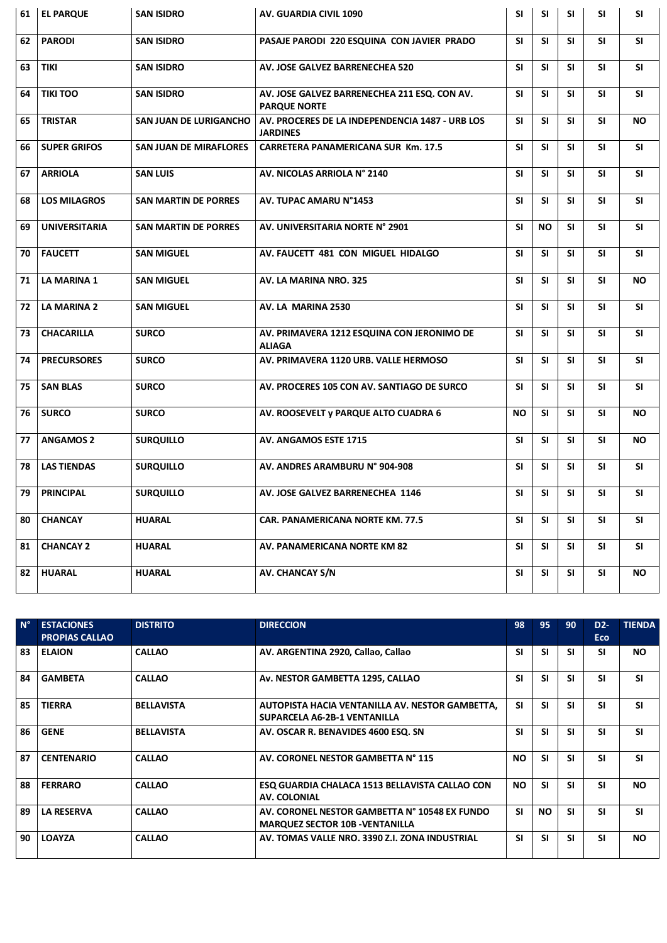| 61 | <b>EL PARQUE</b>     | <b>SAN ISIDRO</b>             | AV. GUARDIA CIVIL 1090                                              | <b>SI</b> | <b>SI</b> | <b>SI</b> | <b>SI</b> | <b>SI</b> |
|----|----------------------|-------------------------------|---------------------------------------------------------------------|-----------|-----------|-----------|-----------|-----------|
| 62 | <b>PARODI</b>        | <b>SAN ISIDRO</b>             | PASAJE PARODI 220 ESQUINA CON JAVIER PRADO                          | <b>SI</b> | <b>SI</b> | <b>SI</b> | <b>SI</b> | <b>SI</b> |
| 63 | <b>TIKI</b>          | <b>SAN ISIDRO</b>             | AV. JOSE GALVEZ BARRENECHEA 520                                     | <b>SI</b> | <b>SI</b> | <b>SI</b> | <b>SI</b> | <b>SI</b> |
| 64 | <b>TIKI TOO</b>      | <b>SAN ISIDRO</b>             | AV. JOSE GALVEZ BARRENECHEA 211 ESQ. CON AV.<br><b>PARQUE NORTE</b> | <b>SI</b> | <b>SI</b> | <b>SI</b> | <b>SI</b> | <b>SI</b> |
| 65 | <b>TRISTAR</b>       | <b>SAN JUAN DE LURIGANCHO</b> | AV. PROCERES DE LA INDEPENDENCIA 1487 - URB LOS<br><b>JARDINES</b>  | <b>SI</b> | <b>SI</b> | <b>SI</b> | <b>SI</b> | <b>NO</b> |
| 66 | <b>SUPER GRIFOS</b>  | <b>SAN JUAN DE MIRAFLORES</b> | <b>CARRETERA PANAMERICANA SUR Km. 17.5</b>                          | <b>SI</b> | <b>SI</b> | <b>SI</b> | <b>SI</b> | <b>SI</b> |
| 67 | <b>ARRIOLA</b>       | <b>SAN LUIS</b>               | AV. NICOLAS ARRIOLA Nº 2140                                         | <b>SI</b> | <b>SI</b> | <b>SI</b> | <b>SI</b> | <b>SI</b> |
| 68 | <b>LOS MILAGROS</b>  | <b>SAN MARTIN DE PORRES</b>   | AV. TUPAC AMARU N°1453                                              | <b>SI</b> | <b>SI</b> | <b>SI</b> | <b>SI</b> | <b>SI</b> |
| 69 | <b>UNIVERSITARIA</b> | <b>SAN MARTIN DE PORRES</b>   | AV. UNIVERSITARIA NORTE N° 2901                                     | <b>SI</b> | <b>NO</b> | <b>SI</b> | <b>SI</b> | <b>SI</b> |
| 70 | <b>FAUCETT</b>       | <b>SAN MIGUEL</b>             | AV. FAUCETT 481 CON MIGUEL HIDALGO                                  | <b>SI</b> | <b>SI</b> | <b>SI</b> | <b>SI</b> | <b>SI</b> |
| 71 | <b>LA MARINA 1</b>   | <b>SAN MIGUEL</b>             | AV. LA MARINA NRO. 325                                              | <b>SI</b> | <b>SI</b> | <b>SI</b> | <b>SI</b> | <b>NO</b> |
| 72 | <b>LA MARINA 2</b>   | <b>SAN MIGUEL</b>             | AV. LA MARINA 2530                                                  | <b>SI</b> | <b>SI</b> | <b>SI</b> | <b>SI</b> | <b>SI</b> |
| 73 | <b>CHACARILLA</b>    | <b>SURCO</b>                  | AV. PRIMAVERA 1212 ESQUINA CON JERONIMO DE<br><b>ALIAGA</b>         | <b>SI</b> | <b>SI</b> | SI        | <b>SI</b> | <b>SI</b> |
| 74 | <b>PRECURSORES</b>   | <b>SURCO</b>                  | AV. PRIMAVERA 1120 URB. VALLE HERMOSO                               | <b>SI</b> | <b>SI</b> | <b>SI</b> | <b>SI</b> | <b>SI</b> |
| 75 | <b>SAN BLAS</b>      | <b>SURCO</b>                  | AV. PROCERES 105 CON AV. SANTIAGO DE SURCO                          | <b>SI</b> | <b>SI</b> | <b>SI</b> | <b>SI</b> | <b>SI</b> |
| 76 | <b>SURCO</b>         | <b>SURCO</b>                  | AV. ROOSEVELT y PARQUE ALTO CUADRA 6                                | <b>NO</b> | <b>SI</b> | <b>SI</b> | <b>SI</b> | <b>NO</b> |
| 77 | <b>ANGAMOS 2</b>     | <b>SURQUILLO</b>              | AV. ANGAMOS ESTE 1715                                               | <b>SI</b> | <b>SI</b> | <b>SI</b> | <b>SI</b> | <b>NO</b> |
| 78 | <b>LAS TIENDAS</b>   | <b>SURQUILLO</b>              | AV. ANDRES ARAMBURU N° 904-908                                      | <b>SI</b> | <b>SI</b> | <b>SI</b> | <b>SI</b> | <b>SI</b> |
| 79 | <b>PRINCIPAL</b>     | <b>SURQUILLO</b>              | AV. JOSE GALVEZ BARRENECHEA 1146                                    | <b>SI</b> | <b>SI</b> | <b>SI</b> | <b>SI</b> | SI        |
| 80 | <b>CHANCAY</b>       | <b>HUARAL</b>                 | CAR. PANAMERICANA NORTE KM. 77.5                                    | <b>SI</b> | <b>SI</b> | <b>SI</b> | <b>SI</b> | <b>SI</b> |
| 81 | <b>CHANCAY 2</b>     | <b>HUARAL</b>                 | AV. PANAMERICANA NORTE KM 82                                        | <b>SI</b> | <b>SI</b> | <b>SI</b> | <b>SI</b> | <b>SI</b> |
| 82 | <b>HUARAL</b>        | <b>HUARAL</b>                 | AV. CHANCAY S/N                                                     | SI        | <b>SI</b> | SI        | SI        | <b>NO</b> |

| $N^{\circ}$ | <b>ESTACIONES</b><br><b>PROPIAS CALLAO</b> | <b>DISTRITO</b>   | <b>DIRECCION</b>                                                                        | 98        | 95        | 90        | D <sub>2</sub> -<br>Eco | <b>TIENDA</b> |
|-------------|--------------------------------------------|-------------------|-----------------------------------------------------------------------------------------|-----------|-----------|-----------|-------------------------|---------------|
| 83          | <b>ELAION</b>                              | <b>CALLAO</b>     | AV. ARGENTINA 2920, Callao, Callao                                                      | <b>SI</b> | <b>SI</b> | <b>SI</b> | <b>SI</b>               | NO.           |
| 84          | <b>GAMBETA</b>                             | <b>CALLAO</b>     | Av. NESTOR GAMBETTA 1295, CALLAO                                                        | <b>SI</b> | <b>SI</b> | <b>SI</b> | <b>SI</b>               | <b>SI</b>     |
| 85          | <b>TIERRA</b>                              | <b>BELLAVISTA</b> | AUTOPISTA HACIA VENTANILLA AV. NESTOR GAMBETTA,<br>SUPARCELA A6-2B-1 VENTANILLA         | <b>SI</b> | <b>SI</b> | <b>SI</b> | <b>SI</b>               | <b>SI</b>     |
| 86          | <b>GENE</b>                                | <b>BELLAVISTA</b> | AV. OSCAR R. BENAVIDES 4600 ESQ. SN                                                     | <b>SI</b> | <b>SI</b> | <b>SI</b> | <b>SI</b>               | <b>SI</b>     |
| 87          | <b>CENTENARIO</b>                          | <b>CALLAO</b>     | AV. CORONEL NESTOR GAMBETTA N° 115                                                      | <b>NO</b> | <b>SI</b> | <b>SI</b> | <b>SI</b>               | <b>SI</b>     |
| 88          | <b>FERRARO</b>                             | <b>CALLAO</b>     | ESQ GUARDIA CHALACA 1513 BELLAVISTA CALLAO CON<br>AV. COLONIAL                          | <b>NO</b> | <b>SI</b> | <b>SI</b> | <b>SI</b>               | <b>NO</b>     |
| 89          | <b>LA RESERVA</b>                          | <b>CALLAO</b>     | AV. CORONEL NESTOR GAMBETTA N° 10548 EX FUNDO<br><b>MARQUEZ SECTOR 10B - VENTANILLA</b> | <b>SI</b> | <b>NO</b> | <b>SI</b> | <b>SI</b>               | <b>SI</b>     |
| 90          | <b>LOAYZA</b>                              | <b>CALLAO</b>     | AV. TOMAS VALLE NRO. 3390 Z.I. ZONA INDUSTRIAL                                          | <b>SI</b> | <b>SI</b> | <b>SI</b> | <b>SI</b>               | <b>NO</b>     |